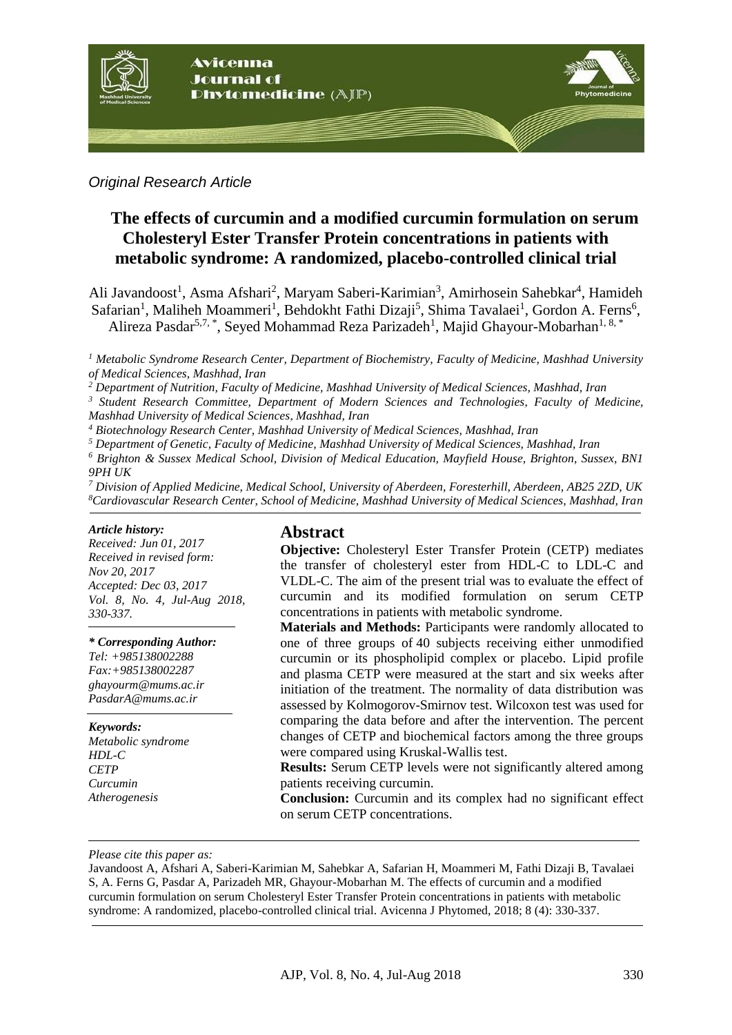

### *Original Research Article*

# **The effects of curcumin and a modified curcumin formulation on serum Cholesteryl Ester Transfer Protein concentrations in patients with metabolic syndrome: A randomized, placebo-controlled clinical trial**

Ali Javandoost<sup>1</sup>, Asma Afshari<sup>2</sup>, Maryam Saberi-Karimian<sup>3</sup>, Amirhosein Sahebkar<sup>4</sup>, Hamideh Safarian<sup>1</sup>, Maliheh Moammeri<sup>1</sup>, Behdokht Fathi Dizaji<sup>5</sup>, Shima Tavalaei<sup>1</sup>, Gordon A. Ferns<sup>6</sup>, Alireza Pasdar<sup>5,7,</sup>\*, Seyed Mohammad Reza Parizadeh<sup>1</sup>, Majid Ghayour-Mobarhan<sup>1, 8,</sup>\*

*<sup>1</sup> Metabolic Syndrome Research Center, Department of Biochemistry, Faculty of Medicine, Mashhad University of Medical Sciences, Mashhad, Iran*

*<sup>2</sup> Department of Nutrition, Faculty of Medicine, Mashhad University of Medical Sciences, Mashhad, Iran*

*<sup>3</sup> Student Research Committee, Department of Modern Sciences and Technologies, Faculty of Medicine, Mashhad University of Medical Sciences, Mashhad, Iran*

*<sup>4</sup> Biotechnology Research Center, Mashhad University of Medical Sciences, Mashhad, Iran*

*<sup>5</sup> Department of Genetic, Faculty of Medicine, Mashhad University of Medical Sciences, Mashhad, Iran*

*<sup>6</sup> Brighton & Sussex Medical School, Division of Medical Education, Mayfield House, Brighton, Sussex, BN1 9PH UK*

*<sup>7</sup> Division of Applied Medicine, Medical School, University of Aberdeen, Foresterhill, Aberdeen, AB25 2ZD, UK <sup>8</sup>Cardiovascular Research Center, School of Medicine, Mashhad University of Medical Sciences, Mashhad, Iran*

#### *Article history:*

*Received: Jun 01, 2017 Received in revised form: Nov 20, 2017 Accepted: Dec 03, 2017 Vol. 8, No. 4, Jul-Aug 2018, 330-337.*

#### *\* Corresponding Author:*

*Tel: +985138002288 Fax:+985138002287 [ghayourm@mums.ac.ir](mailto:ghayourm@mums.ac.ir) PasdarA@mums.ac.ir*

#### *Keywords:*

*Metabolic syndrome HDL-C CETP Curcumin Atherogenesis*

#### **Abstract**

**Objective:** Cholesteryl Ester Transfer Protein (CETP) mediates the transfer of cholesteryl ester from HDL-C to LDL-C and VLDL-C. The aim of the present trial was to evaluate the effect of curcumin and its modified formulation on serum CETP concentrations in patients with metabolic syndrome.

**Materials and Methods:** Participants were randomly allocated to one of three groups of 40 subjects receiving either unmodified curcumin or its phospholipid complex or placebo. Lipid profile and plasma CETP were measured at the start and six weeks after initiation of the treatment. The normality of data distribution was assessed by Kolmogorov-Smirnov test. Wilcoxon test was used for comparing the data before and after the intervention. The percent changes of CETP and biochemical factors among the three groups were compared using Kruskal-Wallis test.

**Results:** Serum CETP levels were not significantly altered among patients receiving curcumin.

**Conclusion:** Curcumin and its complex had no significant effect on serum CETP concentrations.

#### *Please cite this paper as:*

Javandoost A, Afshari A, Saberi-Karimian M, Sahebkar A, Safarian H, Moammeri M, Fathi Dizaji B, Tavalaei S, A. Ferns G, Pasdar A, Parizadeh MR, Ghayour-Mobarhan M. The effects of curcumin and a modified curcumin formulation on serum Cholesteryl Ester Transfer Protein concentrations in patients with metabolic syndrome: A randomized, placebo-controlled clinical trial. Avicenna J Phytomed, 2018; 8 (4): 330-337.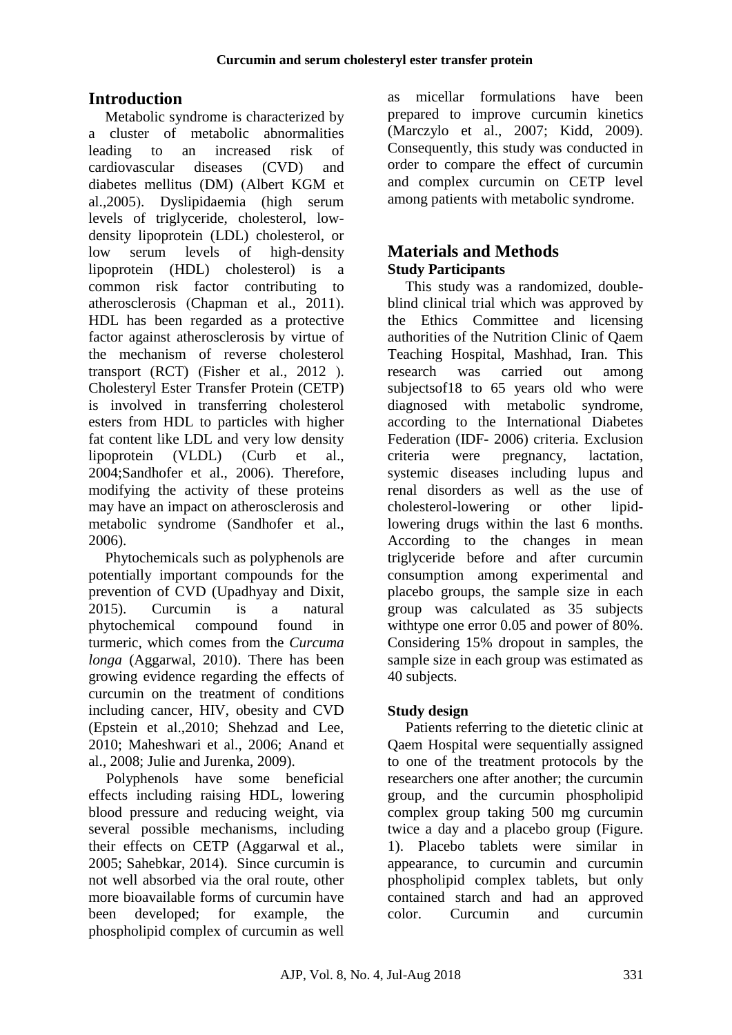# **Introduction**

Metabolic syndrome is characterized by a cluster of metabolic abnormalities leading to an increased risk of cardiovascular diseases (CVD) and diabetes mellitus (DM) (Albert KGM et al.,2005*(*. Dyslipidaemia (high serum levels of triglyceride, cholesterol, lowdensity lipoprotein (LDL) cholesterol, or low serum levels of high-density lipoprotein (HDL) cholesterol) is a common risk factor contributing to atherosclerosis *)*Chapman et al., 2011*(*. HDL has been regarded as a protective factor against atherosclerosis by virtue of the mechanism of reverse cholesterol transport *(RCT) (Fisher et al., 2012)*. Cholesteryl Ester Transfer Protein (CETP) is involved in transferring cholesterol esters from HDL to particles with higher fat content like LDL and very low density lipoprotein (VLDL) (Curb et al., 2004;Sandhofer et al., 2006). Therefore, modifying the activity of these proteins may have an impact on atherosclerosis and metabolic syndrome *(Sandhofer et al.,* 2006).

Phytochemicals such as polyphenols are potentially important compounds for the prevention of CVD (Upadhyay and Dixit, 2015). Curcumin is a natural phytochemical compound found in turmeric, which comes from the *Curcuma longa* (Aggarwal, 2010). There has been growing evidence regarding the effects of curcumin on the treatment of conditions including cancer, HIV, obesity and CVD (Epstein et al.,2010; Shehzad and Lee, 2010; Maheshwari et al., 2006; Anand et al., 2008; Julie and Jurenka, 2009).

Polyphenols have some beneficial effects including raising HDL, lowering blood pressure and reducing weight, via several possible mechanisms, including their effects on CETP (Aggarwal et al., 2005; Sahebkar, 2014). Since curcumin is not well absorbed via the oral route, other more bioavailable forms of curcumin have been developed; for example, the phospholipid complex of curcumin as well

as micellar formulations have been prepared to improve curcumin kinetics (Marczylo et al., 2007; Kidd, 2009). Consequently, this study was conducted in order to compare the effect of curcumin and complex curcumin on CETP level among patients with metabolic syndrome.

# **Materials and Methods Study Participants**

This study was a randomized, doubleblind clinical trial which was approved by the Ethics Committee and licensing authorities of the Nutrition Clinic of Qaem Teaching Hospital, Mashhad, Iran. This research was carried out among subjectsof18 to 65 years old who were diagnosed with metabolic syndrome, according to the International Diabetes Federation (IDF- 2006) criteria. Exclusion criteria were pregnancy, lactation, systemic diseases including lupus and renal disorders as well as the use of cholesterol-lowering or other lipidlowering drugs within the last 6 months. According to the changes in mean triglyceride before and after curcumin consumption among experimental and placebo groups, the sample size in each group was calculated as 35 subjects with type one error 0.05 and power of 80%. Considering 15% dropout in samples, the sample size in each group was estimated as 40 subjects.

# **Study design**

Patients referring to the dietetic clinic at Qaem Hospital were sequentially assigned to one of the treatment protocols by the researchers one after another; the curcumin group, and the curcumin phospholipid complex group taking 500 mg curcumin twice a day and a placebo group (Figure. 1). Placebo tablets were similar in appearance, to curcumin and curcumin phospholipid complex tablets, but only contained starch and had an approved color. Curcumin and curcumin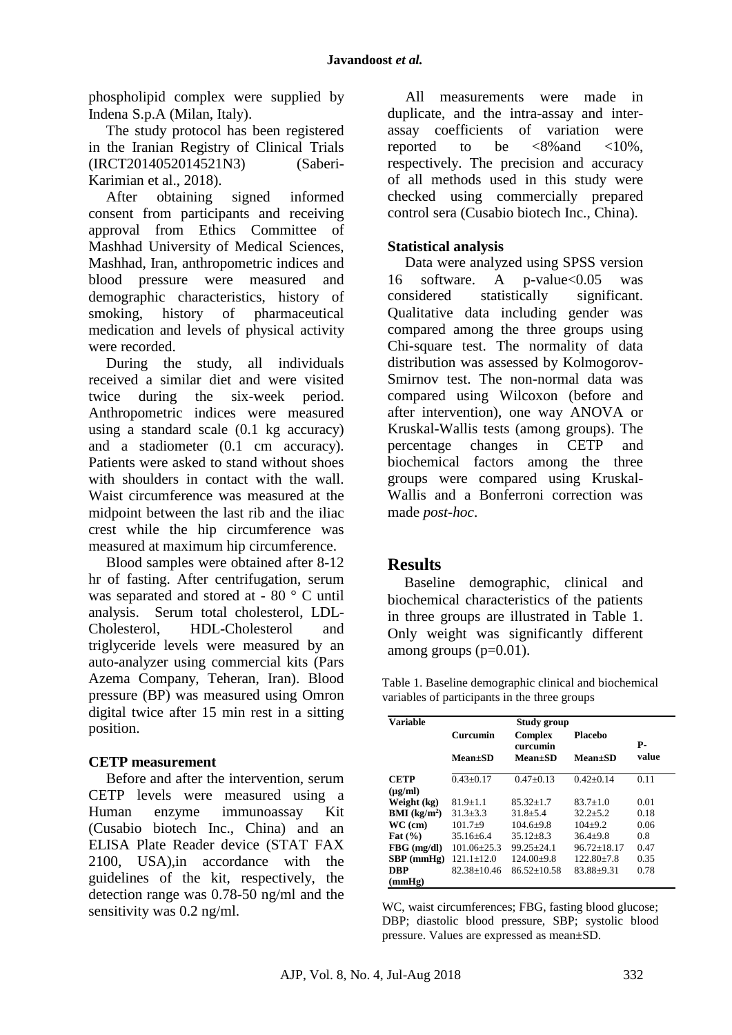phospholipid complex were supplied by Indena S.p.A (Milan, Italy).

The study protocol has been registered in the Iranian Registry of Clinical Trials (IRCT2014052014521N3) (Saberi-Karimian et al., 2018).

After obtaining signed informed consent from participants and receiving approval from Ethics Committee of Mashhad University of Medical Sciences, Mashhad, Iran, anthropometric indices and blood pressure were measured and demographic characteristics, history of smoking, history of pharmaceutical medication and levels of physical activity were recorded.

During the study, all individuals received a similar diet and were visited twice during the six-week period. Anthropometric indices were measured using a standard scale (0.1 kg accuracy) and a stadiometer (0.1 cm accuracy). Patients were asked to stand without shoes with shoulders in contact with the wall. Waist circumference was measured at the midpoint between the last rib and the iliac crest while the hip circumference was measured at maximum hip circumference.

Blood samples were obtained after 8-12 hr of fasting. After centrifugation, serum was separated and stored at - 80 ° C until analysis. Serum total cholesterol, LDL-Cholesterol, HDL-Cholesterol and triglyceride levels were measured by an auto-analyzer using commercial kits (Pars Azema Company, Teheran, Iran). Blood pressure (BP) was measured using Omron digital twice after 15 min rest in a sitting position.

## **CETP measurement**

Before and after the intervention, serum CETP levels were measured using a Human enzyme immunoassay Kit (Cusabio biotech Inc., China) and an ELISA Plate Reader device (STAT FAX 2100, USA),in accordance with the guidelines of the kit, respectively, the detection range was 0.78-50 ng/ml and the sensitivity was 0.2 ng/ml.

All measurements were made in duplicate, and the intra-assay and interassay coefficients of variation were<br>reported to be  $\langle 8\% \rangle$  and  $\langle 10\% \rangle$ . reported to be  $\langle 8\% \text{ and } \langle 10\% \rangle$ . respectively. The precision and accuracy of all methods used in this study were checked using commercially prepared control sera (Cusabio biotech Inc., China).

### **Statistical analysis**

Data were analyzed using SPSS version 16 software. A p-value<0.05 was considered statistically significant. Qualitative data including gender was compared among the three groups using Chi-square test. The normality of data distribution was assessed by Kolmogorov-Smirnov test. The non-normal data was compared using Wilcoxon (before and after intervention), one way ANOVA or Kruskal-Wallis tests (among groups). The percentage changes in CETP and biochemical factors among the three groups were compared using Kruskal-Wallis and a Bonferroni correction was made *post-hoc*.

## **Results**

Baseline demographic, clinical and biochemical characteristics of the patients in three groups are illustrated in Table 1. Only weight was significantly different among groups (p=0.01).

Table 1. Baseline demographic clinical and biochemical variables of participants in the three groups

| <b>Variable</b>        | Study group     |                     |                 |       |  |  |
|------------------------|-----------------|---------------------|-----------------|-------|--|--|
|                        | Curcumin        | Complex<br>curcumin | Placeho         | Р-    |  |  |
|                        | $Mean \pm SD$   | <b>Mean±SD</b>      | <b>Mean</b> ±SD | value |  |  |
| <b>CETP</b>            | $0.43 + 0.17$   | $0.47 \pm 0.13$     | $0.42 + 0.14$   | 0.11  |  |  |
| $(\mu g/ml)$           |                 |                     |                 |       |  |  |
| Weight (kg)            | $81.9 + 1.1$    | $85.32 + 1.7$       | $83.7 + 1.0$    | 0.01  |  |  |
| <b>BMI</b> ( $kg/m2$ ) | $31.3 + 3.3$    | $31.8 + 5.4$        | $32.2 + 5.2$    | 0.18  |  |  |
| $WC$ (cm)              | $101.7+9$       | $104.6 + 9.8$       | $104+9.2$       | 0.06  |  |  |
| Fat $(\% )$            | $35.16 \pm 6.4$ | $35.12 \pm 8.3$     | $36.4 + 9.8$    | 0.8   |  |  |
| $FBG$ (mg/dl)          | $101.06 + 25.3$ | $99.25 + 24.1$      | $96.72 + 18.17$ | 0.47  |  |  |
| $SBP$ (mmHg)           | $121.1 + 12.0$  | $124.00+9.8$        | $122.80 + 7.8$  | 0.35  |  |  |
| DBP                    | $82.38 + 10.46$ | $86.52 + 10.58$     | 83.88+9.31      | 0.78  |  |  |
| (mmHg)                 |                 |                     |                 |       |  |  |

WC, waist circumferences; FBG, fasting blood glucose; DBP; diastolic blood pressure, SBP; systolic blood pressure. Values are expressed as mean±SD.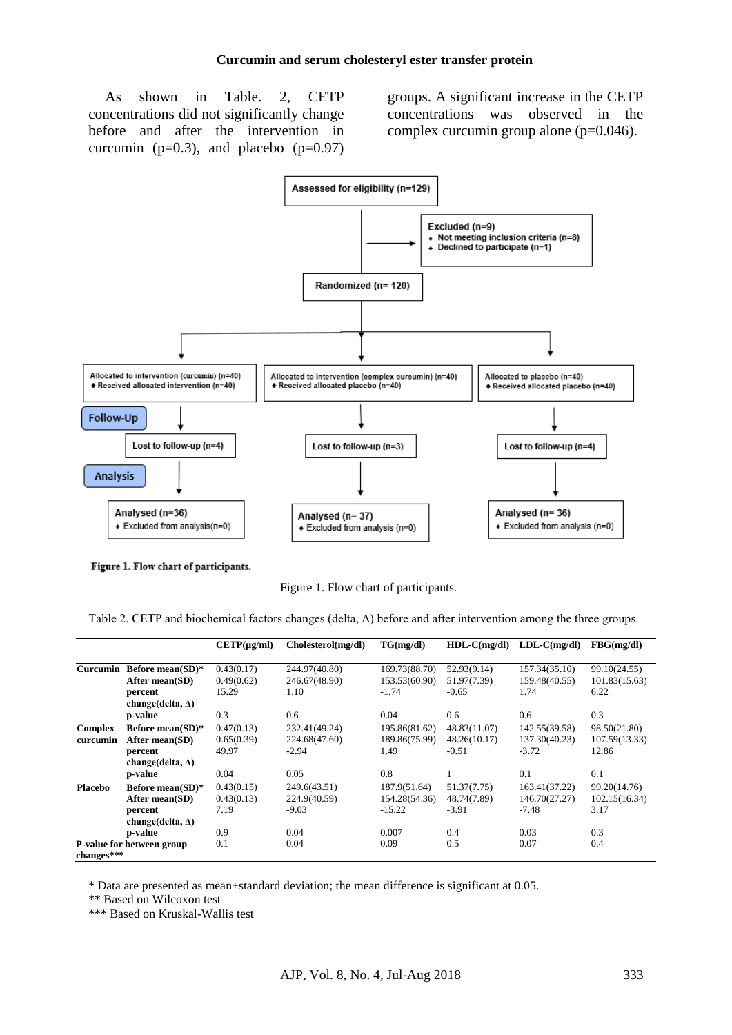As shown in Table. 2, CETP concentrations did not significantly change before and after the intervention in curcumin ( $p=0.3$ ), and placebo ( $p=0.97$ ) groups. A significant increase in the CETP concentrations was observed in the complex curcumin group alone (p=0.046).



Figure 1. Flow chart of participants.

Figure 1. Flow chart of participants.

Table 2. CETP and biochemical factors changes (delta, Δ) before and after intervention among the three groups.

|                |                           | $CETP(\mu g/ml)$ | Cholesterol(mg/dl) | TG(mg/dl)     | $HDL-C(mg/dl)$ | $LDL-C(mg/dl)$ | FBG(mg/dl)    |
|----------------|---------------------------|------------------|--------------------|---------------|----------------|----------------|---------------|
|                |                           |                  |                    |               |                |                |               |
| Curcumin       | Before mean(SD)*          | 0.43(0.17)       | 244.97(40.80)      | 169.73(88.70) | 52.93(9.14)    | 157.34(35.10)  | 99.10(24.55)  |
|                | After mean $(SD)$         | 0.49(0.62)       | 246.67(48.90)      | 153.53(60.90) | 51.97(7.39)    | 159.48(40.55)  | 101.83(15.63) |
|                | percent                   | 15.29            | 1.10               | $-1.74$       | $-0.65$        | 1.74           | 6.22          |
|                | change(delta, $\Delta$ )  |                  |                    |               |                |                |               |
|                | <b>p-value</b>            | 0.3              | 0.6                | 0.04          | 0.6            | 0.6            | 0.3           |
| <b>Complex</b> | Before mean( $SD$ )*      | 0.47(0.13)       | 232.41(49.24)      | 195.86(81.62) | 48.83(11.07)   | 142.55(39.58)  | 98.50(21.80)  |
| curcumin       | After mean(SD)            | 0.65(0.39)       | 224.68(47.60)      | 189.86(75.99) | 48.26(10.17)   | 137.30(40.23)  | 107.59(13.33) |
|                | percent                   | 49.97            | $-2.94$            | 1.49          | $-0.51$        | $-3.72$        | 12.86         |
|                | change(delta, $\Delta$ )  |                  |                    |               |                |                |               |
|                | p-value                   | 0.04             | 0.05               | 0.8           | 1              | 0.1            | 0.1           |
| <b>Placebo</b> | Before mean(SD)*          | 0.43(0.15)       | 249.6(43.51)       | 187.9(51.64)  | 51.37(7.75)    | 163.41(37.22)  | 99.20(14.76)  |
|                | After mean(SD)            | 0.43(0.13)       | 224.9(40.59)       | 154.28(54.36) | 48.74(7.89)    | 146.70(27.27)  | 102.15(16.34) |
|                | percent                   | 7.19             | $-9.03$            | $-15.22$      | $-3.91$        | $-7.48$        | 3.17          |
|                | change(delta, $\Delta$ )  |                  |                    |               |                |                |               |
|                | p-value                   | 0.9              | 0.04               | 0.007         | 0.4            | 0.03           | 0.3           |
|                | P-value for between group | 0.1              | 0.04               | 0.09          | 0.5            | 0.07           | 0.4           |
| changes***     |                           |                  |                    |               |                |                |               |

\* Data are presented as mean±standard deviation; the mean difference is significant at 0.05.

\*\* Based on Wilcoxon test

\*\*\* Based on Kruskal-Wallis test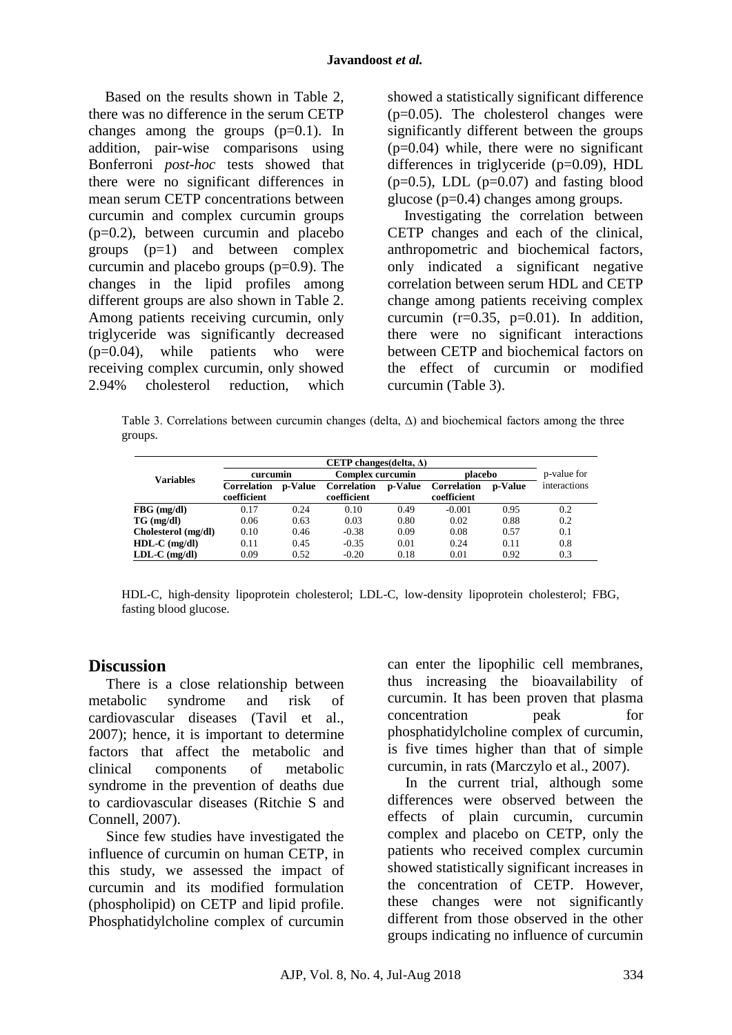Based on the results shown in Table 2, there was no difference in the serum CETP changes among the groups  $(p=0.1)$ . In addition, pair-wise comparisons using Bonferroni *post-hoc* tests showed that there were no significant differences in mean serum CETP concentrations between curcumin and complex curcumin groups (p=0.2), between curcumin and placebo groups (p=1) and between complex curcumin and placebo groups  $(p=0.9)$ . The changes in the lipid profiles among different groups are also shown in Table 2. Among patients receiving curcumin, only triglyceride was significantly decreased (p=0.04), while patients who were receiving complex curcumin, only showed 2.94% cholesterol reduction, which showed a statistically significant difference  $(p=0.05)$ . The cholesterol changes were significantly different between the groups  $(p=0.04)$  while, there were no significant differences in triglyceride (p=0.09), HDL  $(p=0.5)$ , LDL  $(p=0.07)$  and fasting blood glucose (p=0.4) changes among groups.

Investigating the correlation between CETP changes and each of the clinical, anthropometric and biochemical factors, only indicated a significant negative correlation between serum HDL and CETP change among patients receiving complex curcumin  $(r=0.35, p=0.01)$ . In addition, there were no significant interactions between CETP and biochemical factors on the effect of curcumin or modified curcumin (Table 3).

Table 3. Correlations between curcumin changes (delta, Δ) and biochemical factors among the three groups.

|                     | CETP changes (delta, $\Delta$ )   |         |                                   |         |                            |                |              |
|---------------------|-----------------------------------|---------|-----------------------------------|---------|----------------------------|----------------|--------------|
| <b>Variables</b>    | curcumin                          |         | <b>Complex curcumin</b>           |         | placebo                    |                | p-value for  |
|                     | <b>Correlation</b><br>coefficient | p-Value | <b>Correlation</b><br>coefficient | p-Value | Correlation<br>coefficient | <b>p-Value</b> | interactions |
| $FBG$ (mg/dl)       | 0.17                              | 0.24    | 0.10                              | 0.49    | $-0.001$                   | 0.95           | 0.2          |
| $TG \, (mg/dl)$     | 0.06                              | 0.63    | 0.03                              | 0.80    | 0.02                       | 0.88           | 0.2          |
| Cholesterol (mg/dl) | 0.10                              | 0.46    | $-0.38$                           | 0.09    | 0.08                       | 0.57           | 0.1          |
| $HDL-C$ (mg/dl)     | 0.11                              | 0.45    | $-0.35$                           | 0.01    | 0.24                       | 0.11           | 0.8          |
| $LDL-C$ (mg/dl)     | 0.09                              | 0.52    | $-0.20$                           | 0.18    | 0.01                       | 0.92           | 0.3          |

HDL-C, high-density lipoprotein cholesterol; LDL-C, low-density lipoprotein cholesterol; FBG, fasting blood glucose.

## **Discussion**

There is a close relationship between metabolic syndrome and risk of cardiovascular diseases (Tavil et al., 2007); hence, it is important to determine factors that affect the metabolic and clinical components of metabolic syndrome in the prevention of deaths due to cardiovascular diseases (Ritchie S and Connell, 2007).

Since few studies have investigated the influence of curcumin on human CETP, in this study, we assessed the impact of curcumin and its modified formulation (phospholipid) on CETP and lipid profile. Phosphatidylcholine complex of curcumin can enter the lipophilic cell membranes, thus increasing the bioavailability of curcumin. It has been proven that plasma concentration peak for phosphatidylcholine complex of curcumin, is five times higher than that of simple curcumin, in rats (Marczylo et al., 2007).

In the current trial, although some differences were observed between the effects of plain curcumin, curcumin complex and placebo on CETP, only the patients who received complex curcumin showed statistically significant increases in the concentration of CETP. However, these changes were not significantly different from those observed in the other groups indicating no influence of curcumin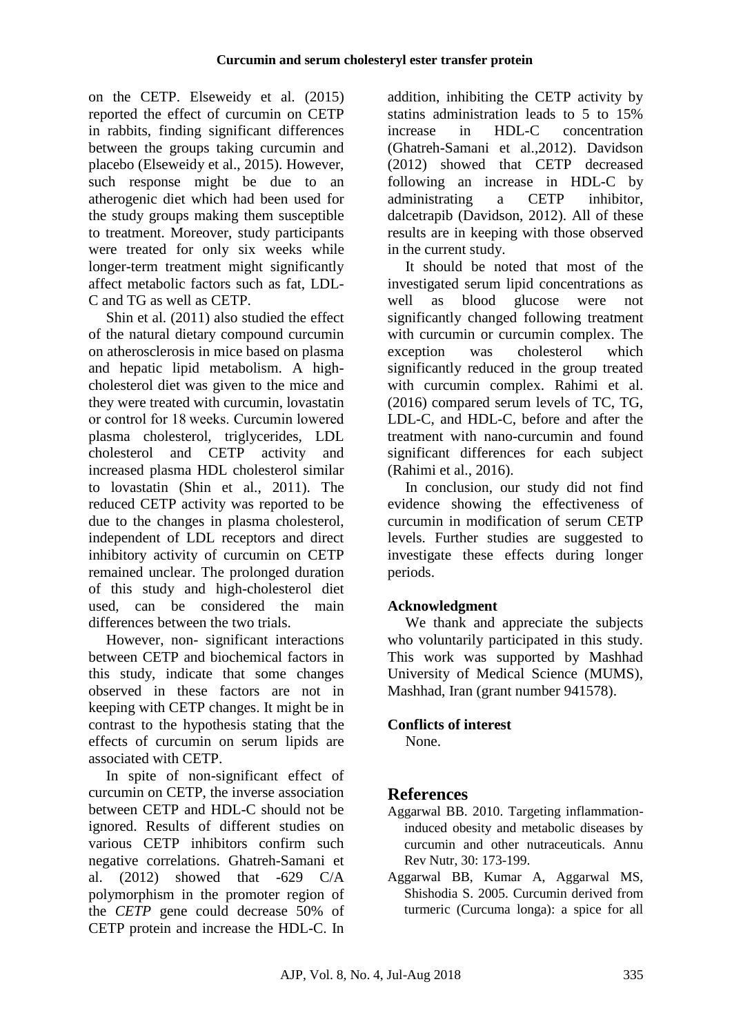on the CETP. [Elseweidy](http://www.tandfonline.com/author/Elseweidy%2C+MM) et al. (2015) reported the effect of curcumin on CETP in rabbits, finding significant differences between the groups taking curcumin and placebo (Elseweidy et al., 2015). However, such response might be due to an atherogenic diet which had been used for the study groups making them susceptible to treatment. Moreover, study participants were treated for only six weeks while longer-term treatment might significantly affect metabolic factors such as fat, LDL-C and TG as well as CETP.

Shin et al. (2011) also studied the effect of the natural dietary compound curcumin on atherosclerosis in mice based on plasma and hepatic lipid metabolism. A highcholesterol diet was given to the mice and they were treated with curcumin, lovastatin or control for 18 weeks. Curcumin lowered plasma cholesterol, triglycerides, LDL cholesterol and CETP activity and increased plasma HDL cholesterol similar to lovastatin (Shin et al., 2011). The reduced CETP activity was reported to be due to the changes in plasma cholesterol, independent of LDL receptors and direct inhibitory activity of curcumin on CETP remained unclear. The prolonged duration of this study and high-cholesterol diet used, can be considered the main differences between the two trials.

However, non- significant interactions between CETP and biochemical factors in this study, indicate that some changes observed in these factors are not in keeping with CETP changes. It might be in contrast to the hypothesis stating that the effects of curcumin on serum lipids are associated with CETP.

In spite of non-significant effect of curcumin on CETP, the inverse association between CETP and HDL-C should not be ignored. Results of different studies on various CETP inhibitors confirm such negative correlations. Ghatreh-Samani et al. (2012) showed that -629 C/A polymorphism in the promoter region of the *CETP* gene could decrease 50% of CETP protein and increase the HDL-C. In

addition, inhibiting the CETP activity by statins administration leads to 5 to 15% increase in HDL-C concentration (Ghatreh-Samani et al.,2012). Davidson (2012) showed that CETP decreased following an increase in HDL-C by administrating a CETP inhibitor, dalcetrapib (Davidson, 2012). All of these results are in keeping with those observed in the current study.

It should be noted that most of the investigated serum lipid concentrations as well as blood glucose were not significantly changed following treatment with curcumin or curcumin complex. The exception was cholesterol which significantly reduced in the group treated with curcumin complex. Rahimi et al. (2016) compared serum levels of TC, TG, LDL-C, and HDL-C, before and after the treatment with nano-curcumin and found significant differences for each subject (Rahimi et al., 2016).

In conclusion, our study did not find evidence showing the effectiveness of curcumin in modification of serum CETP levels. Further studies are suggested to investigate these effects during longer periods.

# **Acknowledgment**

We thank and appreciate the subjects who voluntarily participated in this study. This work was supported by Mashhad University of Medical Science (MUMS), Mashhad, Iran (grant number 941578).

## **Conflicts of interest**

None.

# **References**

- Aggarwal BB. 2010. Targeting inflammationinduced obesity and metabolic diseases by curcumin and other nutraceuticals. Annu Rev Nutr, 30: 173-199.
- Aggarwal BB, Kumar A, Aggarwal MS, Shishodia S. 2005. Curcumin derived from turmeric (Curcuma longa): a spice for all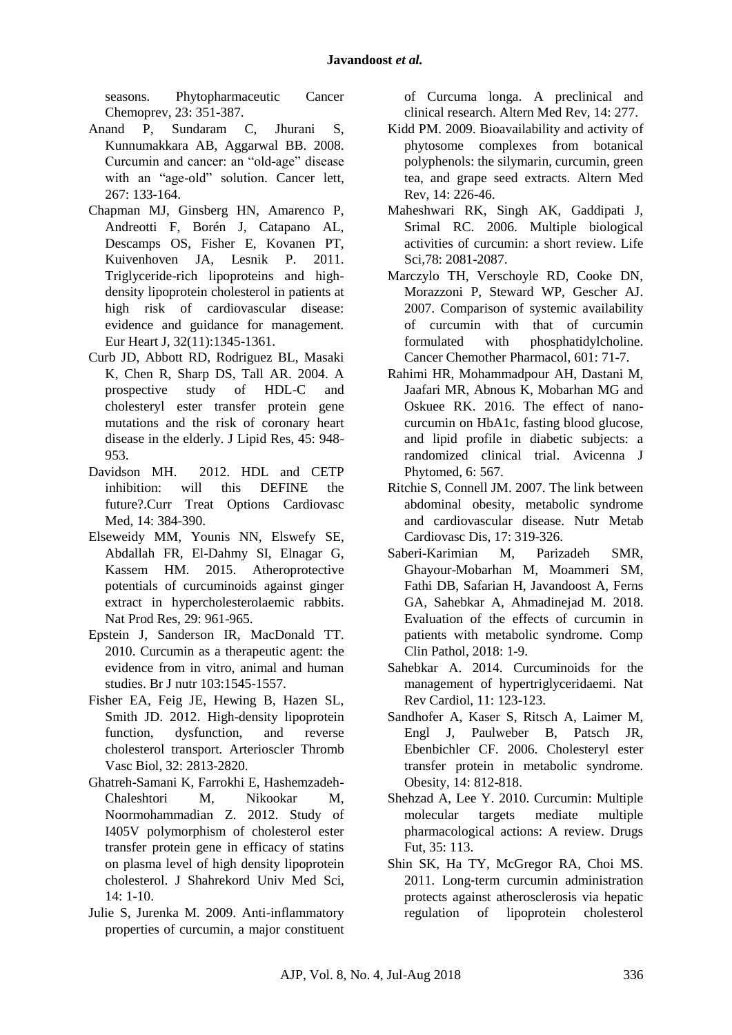seasons. Phytopharmaceutic Cancer Chemoprev, 23: 351-387.

- Anand P, Sundaram C, Jhurani S, Kunnumakkara AB, Aggarwal BB. 2008. Curcumin and cancer: an "old-age" disease with an "age-old" solution. Cancer lett, 267: 133-164.
- Chapman MJ, Ginsberg HN, Amarenco P, Andreotti F, Borén J, Catapano AL, Descamps OS, Fisher E, Kovanen PT, Kuivenhoven JA, Lesnik P. 2011. Triglyceride-rich lipoproteins and highdensity lipoprotein cholesterol in patients at high risk of cardiovascular disease: evidence and guidance for management*.* Eur Heart J, 32(11):1345-1361.
- Curb JD, Abbott RD, Rodriguez BL, Masaki K, Chen R, Sharp DS, Tall AR. 2004. A prospective study of HDL-C and cholesteryl ester transfer protein gene mutations and the risk of coronary heart disease in the elderly. J Lipid Res, 45: 948- 953.
- Davidson MH. 2012. HDL and CETP inhibition: will this DEFINE the future?.Curr Treat Options Cardiovasc Med, 14: 384-390.
- Elseweidy MM, Younis NN, Elswefy SE, Abdallah FR, El-Dahmy SI, Elnagar G, Kassem HM. 2015. Atheroprotective potentials of curcuminoids against ginger extract in hypercholesterolaemic rabbits. Nat Prod Res, 29: 961-965.
- Epstein J, Sanderson IR, MacDonald TT. 2010. Curcumin as a therapeutic agent: the evidence from in vitro, animal and human studies. Br J nutr 103:1545-1557.
- Fisher EA, Feig JE, Hewing B, Hazen SL, Smith JD. 2012. High-density lipoprotein function, dysfunction, and reverse cholesterol transport*.* Arterioscler Thromb Vasc Biol, 32: 2813-2820*.*
- Ghatreh-Samani K, Farrokhi E, Hashemzadeh-Chaleshtori M, Nikookar M, Noormohammadian Z. 2012. Study of I405V polymorphism of cholesterol ester transfer protein gene in efficacy of statins on plasma level of high density lipoprotein cholesterol. J Shahrekord Univ Med Sci, 14: 1-10.
- Julie S, Jurenka M. 2009. Anti-inflammatory properties of curcumin, a major constituent

of Curcuma longa. A preclinical and clinical research. Altern Med Rev, 14: 277.

- Kidd PM. 2009. Bioavailability and activity of phytosome complexes from botanical polyphenols: the silymarin, curcumin, green tea, and grape seed extracts. Altern Med Rev, 14: 226-46.
- Maheshwari RK, Singh AK, Gaddipati J, Srimal RC. 2006. Multiple biological activities of curcumin: a short review. Life Sci,78: 2081-2087.
- Marczylo TH, Verschoyle RD, Cooke DN, Morazzoni P, Steward WP, Gescher AJ. 2007. Comparison of systemic availability of curcumin with that of curcumin formulated with phosphatidylcholine. Cancer Chemother Pharmacol, 601: 71-7.
- Rahimi HR, Mohammadpour AH, Dastani M, Jaafari MR, Abnous K, Mobarhan MG and Oskuee RK. 2016. The effect of nanocurcumin on HbA1c, fasting blood glucose, and lipid profile in diabetic subjects: a randomized clinical trial. Avicenna J Phytomed, 6: 567.
- Ritchie S, Connell JM. 2007. The link between abdominal obesity, metabolic syndrome and cardiovascular disease. Nutr Metab Cardiovasc Dis, 17: 319-326.
- Saberi-Karimian M, Parizadeh SMR, Ghayour-Mobarhan M, Moammeri SM, Fathi DB, Safarian H, Javandoost A, Ferns GA, Sahebkar A, Ahmadinejad M. 2018. Evaluation of the effects of curcumin in patients with metabolic syndrome. Comp Clin Pathol, 2018: 1-9.
- Sahebkar A. 2014. Curcuminoids for the management of hypertriglyceridaemi. Nat Rev Cardiol, 11: 123-123.
- Sandhofer A, Kaser S, Ritsch A, Laimer M, Engl J, Paulweber B, Patsch JR, Ebenbichler CF. 2006. Cholesteryl ester transfer protein in metabolic syndrome*.* Obesity, 14: 812-818*.*
- Shehzad A, Lee Y. 2010. Curcumin: Multiple molecular targets mediate multiple pharmacological actions: A review. Drugs Fut, 35: 113.
- Shin SK, Ha TY, McGregor RA, Choi MS. 2011. Long‐term curcumin administration protects against atherosclerosis via hepatic regulation of lipoprotein cholesterol